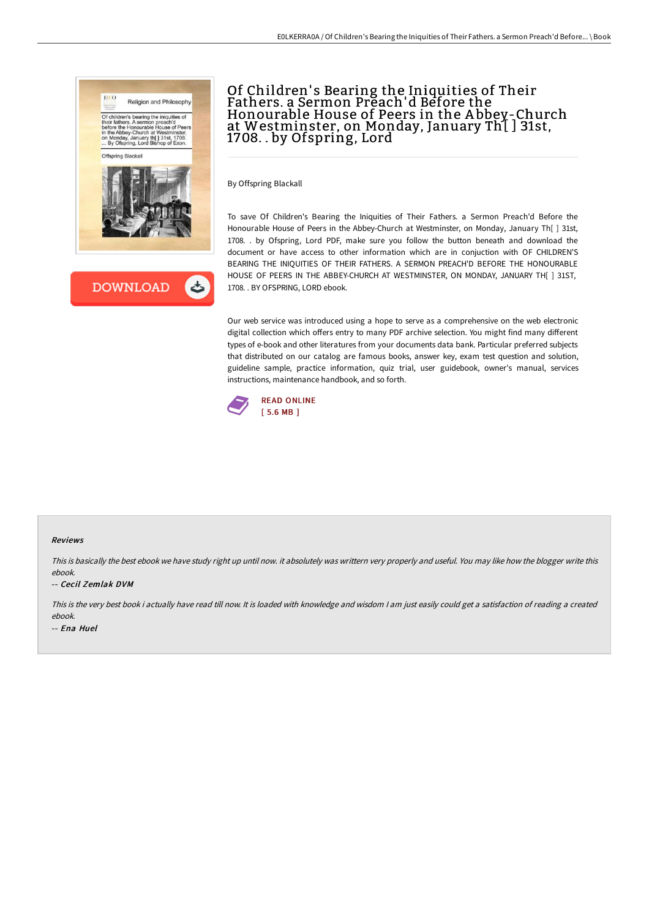



# Of Children' s Bearing the Iniquities of Their Fathers. a Sermon Preach'd Before the Honourable House of Peers in the A bbey-Church at Westminster, on Monday, January Th[ ] 31st, 1708. . by Ofspring, Lord

By Offspring Blackall

To save Of Children's Bearing the Iniquities of Their Fathers. a Sermon Preach'd Before the Honourable House of Peers in the Abbey-Church at Westminster, on Monday, January Th[ ] 31st, 1708. . by Ofspring, Lord PDF, make sure you follow the button beneath and download the document or have access to other information which are in conjuction with OF CHILDREN'S BEARING THE INIQUITIES OF THEIR FATHERS. A SERMON PREACH'D BEFORE THE HONOURABLE HOUSE OF PEERS IN THE ABBEY-CHURCH AT WESTMINSTER, ON MONDAY, JANUARY TH[ ] 31ST, 1708. . BY OFSPRING, LORD ebook.

Our web service was introduced using a hope to serve as a comprehensive on the web electronic digital collection which offers entry to many PDF archive selection. You might find many different types of e-book and other literatures from your documents data bank. Particular preferred subjects that distributed on our catalog are famous books, answer key, exam test question and solution, guideline sample, practice information, quiz trial, user guidebook, owner's manual, services instructions, maintenance handbook, and so forth.



#### Reviews

This is basically the best ebook we have study right up until now. it absolutely was writtern very properly and useful. You may like how the blogger write this ebook.

### -- Cecil Zemlak DVM

This is the very best book i actually have read till now. It is loaded with knowledge and wisdom <sup>I</sup> am just easily could get <sup>a</sup> satisfaction of reading <sup>a</sup> created ebook.

-- Ena Huel